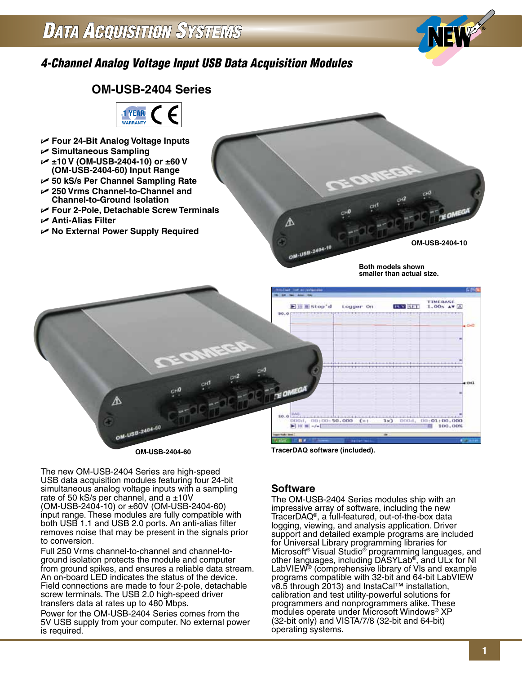

# **OM-USB-2404 Series 1 YEAR WARRANTY** U **Four 24-Bit Analog Voltage Inputs** U **Simultaneous Sampling** U **±10 V (OM-USB-2404-10) or ±60 V (OM-USB-2404-60) Input Range**

- U **50 kS/s Per Channel Sampling Rate**
- U **250 Vrms Channel-to-Channel and Channel-to-Ground Isolation**
- U **Four 2-Pole, Detachable Screw Terminals**
- U **Anti-Alias Filter**
- U **No External Power Supply Required**

**OM-USB-2404-10**

**Both models shown smaller than actual size.**



The new OM-USB-2404 Series are high-speed USB data acquisition modules featuring four 24-bit simultaneous analog voltage inputs with a sampling rate of 50 kS/s per channel, and a  $\pm 10V$ (OM-USB-2404-10) or ±60V (OM-USB-2404-60) input range. These modules are fully compatible with both USB 1.1 and USB 2.0 ports. An anti-alias filter removes noise that may be present in the signals prior to conversion.

Full 250 Vrms channel-to-channel and channel-toground isolation protects the module and computer from ground spikes, and ensures a reliable data stream. An on-board LED indicates the status of the device. Field connections are made to four 2-pole, detachable screw terminals. The USB 2.0 high-speed driver transfers data at rates up to 480 Mbps.

Power for the OM-USB-2404 Series comes from the 5V USB supply from your computer. No external power is required.

# **Software**

⚠

OM-USB-2404-1

The OM-USB-2404 Series modules ship with an impressive array of software, including the new TracerDAQ®, a full-featured, out-of-the-box data logging, viewing, and analysis application. Driver support and detailed example programs are included for Universal Library programming libraries for Microsoft® Visual Studio® programming languages, and other languages, including DASYLab®, and ULx for NI LabVIEW<sup>®</sup> (comprehensive library of VIs and example programs compatible with 32-bit and 64-bit LabVIEW v8.5 through 2013) and InstaCal™ installation, calibration and test utility-powerful solutions for programmers and nonprogrammers alike. These modules operate under Microsoft Windows® XP (32-bit only) and VISTA/7/8 (32-bit and 64-bit) operating systems.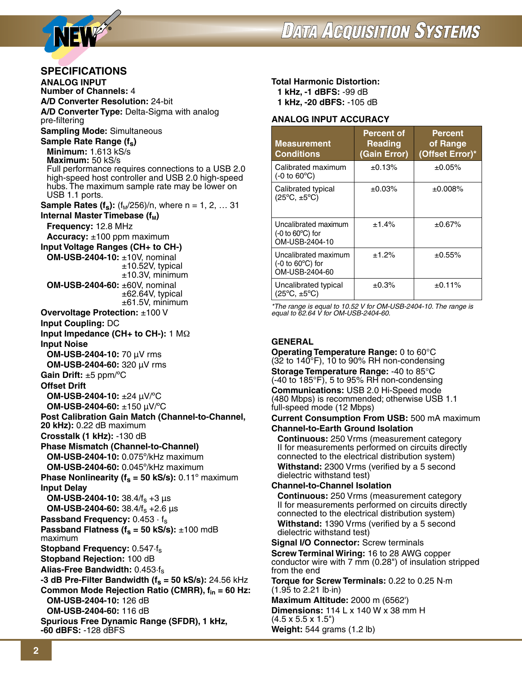



# **SPECIFICATIONS**

**ANALOG INPUT Number of Channels:** 4 **A/D Converter Resolution:** 24-bit **A/D Converter Type:** Delta-Sigma with analog pre-filtering **Sampling Mode:** Simultaneous Sample Rate Range (f<sub>s</sub>) **Minimum:** 1.613 kS/s **Maximum:** 50 kS/s Full performance requires connections to a USB 2.0 high-speed host controller and USB 2.0 high-speed hubs. The maximum sample rate may be lower on USB 1.1 ports. **Sample Rates (f<sub>s</sub>):** (f<sub>M</sub>/256)/n, where  $n = 1, 2, ... 31$ **Internal Master Timebase (f<sub>M</sub>) Frequency:** 12.8 MHz **Accuracy:** ±100 ppm maximum **Input Voltage Ranges (CH+ to CH-) OM-USB-2404-10:** ±10V, nominal  $±10.52V$ , typical  $±10.3V$ , minimum **OM-USB-2404-60:** ±60V, nominal  $\pm$ 62.64V, typical  $±61.5V$ , minimum **Overvoltage Protection:** ±100 V **Input Coupling:** DC **Input Impedance (CH+ to CH-):** 1 MΩ **Input Noise OM-USB-2404-10:** 70 µV rms **OM-USB-2404-60:** 320 µV rms **Gain Drift:** ±5 ppm/ºC **Offset Drift OM-USB-2404-10:** ±24 µV/ºC **OM-USB-2404-60:** ±150 µV/ºC **Post Calibration Gain Match (Channel-to-Channel, 20 kHz):** 0.22 dB maximum **Crosstalk (1 kHz):** -130 dB **Phase Mismatch (Channel-to-Channel) OM-USB-2404-10:** 0.075º/kHz maximum **OM-USB-2404-60:** 0.045º/kHz maximum **Phase Nonlinearity (** $f_s = 50$  **kS/s):** 0.11 $\degree$  maximum **Input Delay OM-USB-2404-10:** 38.4/f<sub>s</sub> +3  $\mu$ s **OM-USB-2404-60:** 38.4/fs +2.6 µs Passband Frequency: 0.453 · f<sub>s</sub> **Passband Flatness (** $f_s = 50$  **kS/s):**  $\pm 100$  mdB maximum **Stopband Frequency:** 0.547·fs **Stopband Rejection:** 100 dB **Alias-Free Bandwidth:** 0.453·fs **-3 dB Pre-Filter Bandwidth (** $f_s$  **= 50 kS/s):** 24.56 kHz **Common Mode Rejection Ratio (CMRR), fin = 60 Hz: OM-USB-2404-10:** 126 dB **OM-USB-2404-60:** 116 dB **Spurious Free Dynamic Range (SFDR), 1 kHz, -60 dBFS:** -128 dBFS

## **Total Harmonic Distortion:**

**1 kHz, -1 dBFS:** -99 dB **1 kHz, -20 dBFS:** -105 dB

## **Analog Input Accuracy**

| <b>Measurement</b><br><b>Conditions</b>                                  | <b>Percent of</b><br><b>Reading</b><br>(Gain Error) | Percent<br>of Range<br>(Offset Error)* |
|--------------------------------------------------------------------------|-----------------------------------------------------|----------------------------------------|
| Calibrated maximum<br>$(-0)$ to $60^{\circ}$ C)                          | ±0.13%                                              | ±0.05%                                 |
| Calibrated typical<br>$(25^{\circ}C, \pm 5^{\circ}C)$                    | ±0.03%                                              | ±0.008%                                |
| Uncalibrated maximum<br>$(-0)$ to 60 $^{\circ}$ C) for<br>OM-USB-2404-10 | ±1.4%                                               | ±0.67%                                 |
| Uncalibrated maximum<br>$(-0)$ to 60 $^{\circ}$ C) for<br>OM-USB-2404-60 | ±1.2%                                               | ±0.55%                                 |
| Uncalibrated typical<br>$(25^{\circ}C, \pm 5^{\circ}C)$                  | ±0.3%                                               | ±0.11%                                 |

*\*The range is equal to 10.52 V for OM-USB-2404-10. The range is equal to 62.64 V for OM-USB-2404-60.*

## **GENERAL**

**Operating Temperature Range:** 0 to 60°C (32 to 140°F), 10 to 90% RH non-condensing **Storage Temperature Range:** -40 to 85°C  $(-40 \text{ to } 185^{\circ}F)$ , 5 to 95% RH non-condensing **Communications:** USB 2.0 Hi-Speed mode (480 Mbps) is recommended; otherwise USB 1.1 full-speed mode (12 Mbps)

**Current Consumption From USB:** 500 mA maximum **Channel-to-Earth Ground Isolation**

 **Continuous:** 250 Vrms (measurement category II for measurements performed on circuits directly connected to the electrical distribution system)  **Withstand:** 2300 Vrms (verified by a 5 second dielectric withstand test)

### **Channel-to-Channel Isolation**

 **Continuous:** 250 Vrms (measurement category II for measurements performed on circuits directly connected to the electrical distribution system) **Withstand:** 1390 Vrms (verified by a 5 second dielectric withstand test)

**Signal I/O Connector:** Screw terminals

**Screw Terminal Wiring:** 16 to 28 AWG copper conductor wire with 7 mm (0.28") of insulation stripped from the end

**Torque for Screw Terminals:** 0.22 to 0.25 N·m (1.95 to 2.21 lb·in)

**Maximum Altitude:** 2000 m (6562') **Dimensions:** 114 L x 140 W x 38 mm H (4.5 x 5.5 x 1.5") **Weight:** 544 grams (1.2 lb)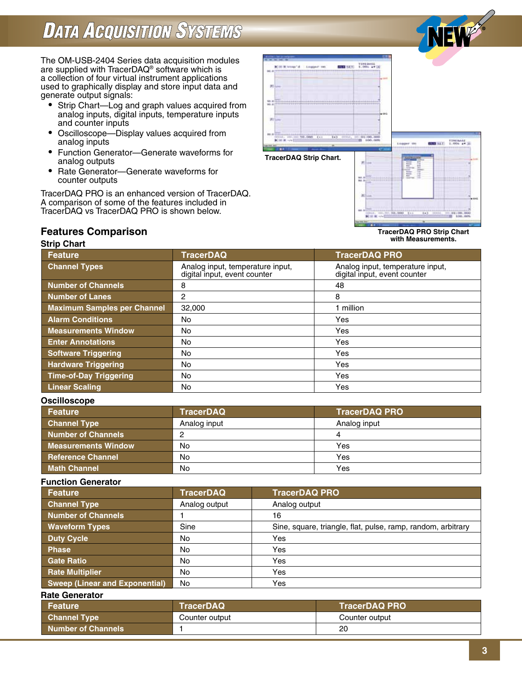# **DATA ACQUISITION SYSTEMS**

The OM-USB-2404 Series data acquisition modules are supplied with TracerDAQ® software which is a collection of four virtual instrument applications used to graphically display and store input data and generate output signals:

- Strip Chart—Log and graph values acquired from analog inputs, digital inputs, temperature inputs and counter inputs
- Oscilloscope—Display values acquired from analog inputs
- Function Generator—Generate waveforms for analog outputs
- Rate Generator—Generate waveforms for counter outputs

TracerDAQ PRO is an enhanced version of TracerDAQ. A comparison of some of the features included in TracerDAQ vs TracerDAQ PRO is shown below.



#### **TracerDAQ PRO Strip Chart with Measurements.**

# **Features Comparison**

# **Strip Chart**

| <b>Feature</b>                     | <b>TracerDAQ</b>                                                 | <b>TracerDAQ PRO</b>                                             |
|------------------------------------|------------------------------------------------------------------|------------------------------------------------------------------|
| <b>Channel Types</b>               | Analog input, temperature input,<br>digital input, event counter | Analog input, temperature input,<br>digital input, event counter |
| <b>Number of Channels</b>          | 8                                                                | 48                                                               |
| <b>Number of Lanes</b>             | 2                                                                | 8                                                                |
| <b>Maximum Samples per Channel</b> | 32,000                                                           | 1 million                                                        |
| <b>Alarm Conditions</b>            | No                                                               | Yes                                                              |
| <b>Measurements Window</b>         | No                                                               | Yes                                                              |
| <b>Enter Annotations</b>           | No                                                               | Yes                                                              |
| <b>Software Triggering</b>         | No                                                               | Yes                                                              |
| <b>Hardware Triggering</b>         | No                                                               | Yes                                                              |
| <b>Time-of-Day Triggering</b>      | No                                                               | <b>Yes</b>                                                       |
| <b>Linear Scaling</b>              | No                                                               | Yes                                                              |

## **Oscilloscope**

| Feature                    | <b>TracerDAQ</b> | <b>TracerDAQ PRO</b> |
|----------------------------|------------------|----------------------|
| <b>Channel Type</b>        | Analog input     | Analog input         |
| <b>Number of Channels</b>  |                  |                      |
| <b>Measurements Window</b> | No               | Yes                  |
| <b>Reference Channel</b>   | No               | Yes                  |
| <b>Math Channel</b>        | No               | Yes                  |

### **Function Generator**

| Feature                               | <b>TracerDAQ</b> | <b>TracerDAQ PRO</b>                                         |
|---------------------------------------|------------------|--------------------------------------------------------------|
| <b>Channel Type</b>                   | Analog output    | Analog output                                                |
| <b>Number of Channels</b>             |                  | 16                                                           |
| <b>Waveform Types</b>                 | Sine             | Sine, square, triangle, flat, pulse, ramp, random, arbitrary |
| <b>Duty Cycle</b>                     | No               | Yes                                                          |
| <b>Phase</b>                          | No               | Yes                                                          |
| <b>Gate Ratio</b>                     | No               | Yes                                                          |
| <b>Rate Multiplier</b>                | No               | Yes                                                          |
| <b>Sweep (Linear and Exponential)</b> | No               | Yes                                                          |

### **Rate Generator**

| ⊾Feature <b>i</b>         | <b>TracerDAQ</b> | <b>TracerDAQ PRO</b> |
|---------------------------|------------------|----------------------|
| <b>Channel Type</b>       | Counter output   | Counter output       |
| <b>Number of Channels</b> |                  | 20                   |